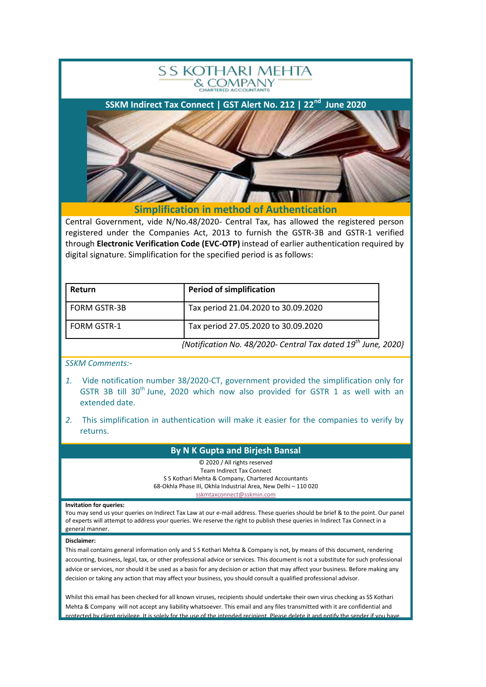

Central Government, vide N/No.48/2020- Central Tax, has allowed the registered person registered under the Companies Act, 2013 to furnish the GSTR-3B and GSTR-1 verified through **Electronic Verification Code (EVC-OTP)** instead of earlier authentication required by digital signature. Simplification for the specified period is as follows:

| <b>Return</b>       | <b>Period of simplification</b>                                    |  |
|---------------------|--------------------------------------------------------------------|--|
| <b>FORM GSTR-3B</b> | Tax period 21.04.2020 to 30.09.2020                                |  |
| <b>FORM GSTR-1</b>  | Tax period 27.05.2020 to 30.09.2020                                |  |
|                     | {Notification No. 48/2020- Central Tax dated $19^{th}$ June, 2020} |  |

*SSKM Comments:-*

- *1.* Vide notification number 38/2020-CT, government provided the simplification only for GSTR 3B till 30<sup>th</sup> June, 2020 which now also provided for GSTR 1 as well with an extended date.
- *2.* This simplification in authentication will make it easier for the companies to verify by returns.

## **By N K Gupta and Birjesh Bansal**

© 2020 / All rights reserved Team Indirect Tax Connect S S Kothari Mehta & Company, Chartered Accountants 68-Okhla Phase III, Okhla Industrial Area, New Delhi – 110 020 [sskmtaxconnect@sskmin.com](mailto:sskmtaxconnect@sskmin.com)

## **Invitation for queries:**

You may send us your queries on Indirect Tax Law at our e-mail address. These queries should be brief & to the point. Our panel of experts will attempt to address your queries. We reserve the right to publish these queries in Indirect Tax Connect in a general manner.

## **Disclaimer:**

This mail contains general information only and S S Kothari Mehta & Company is not, by means of this document, rendering accounting, business, legal, tax, or other professional advice or services. This document is not a substitute for such professional advice or services, nor should it be used as a basis for any decision or action that may affect your business. Before making any decision or taking any action that may affect your business, you should consult a qualified professional advisor.

Whilst this email has been checked for all known viruses, recipients should undertake their own virus checking as SS Kothari Mehta & Company will not accept any liability whatsoever. This email and any files transmitted with it are confidential and e. It is solely for the use of the intended recipient. Please delete it and notify the